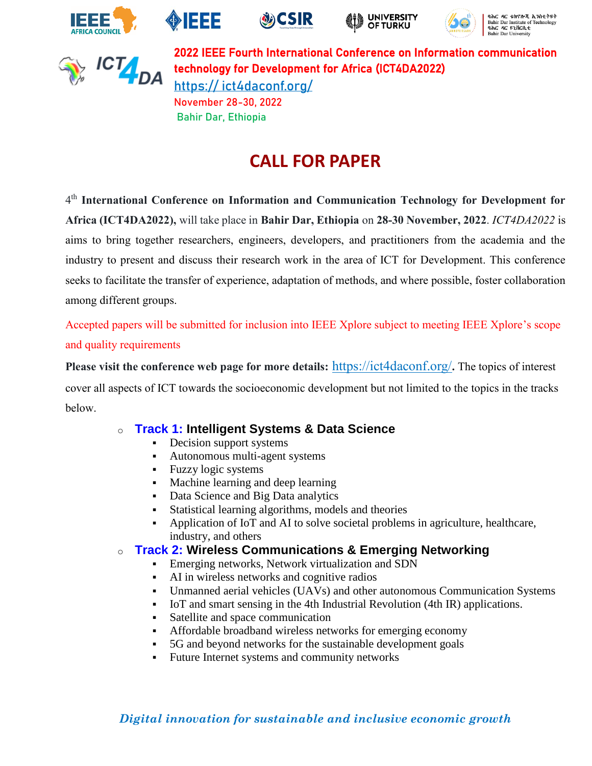











2022 IEEE Fourth International Conference on Information communication technology for Development for Africa (ICT4DA2022) https:// [ict4daconf.org/](https://ict4da2022.ict4daconf.org/) November 28-30, 2022 Bahir Dar, Ethiopia

# **CALL FOR PAPER**

4 th **International Conference on Information and Communication Technology for Development for Africa (ICT4DA2022),** will take place in **Bahir Dar, Ethiopia** on **28-30 November, 2022**. *ICT4DA2022* is aims to bring together researchers, engineers, developers, and practitioners from the academia and the industry to present and discuss their research work in the area of ICT for Development. This conference seeks to facilitate the transfer of experience, adaptation of methods, and where possible, foster collaboration among different groups.

Accepted papers will be submitted for inclusion into IEEE Xplore subject to meeting IEEE Xplore's scope and quality requirements

**Please visit the conference web page for more details:** [https://ict4daconf.org/](https://ict4da2022.ict4daconf.org/)**.** The topics of interest cover all aspects of ICT towards the socioeconomic development but not limited to the topics in the tracks below.

- o **Track 1: Intelligent Systems & Data Science**
	- Decision support systems
	- Autonomous multi-agent systems
	- **•** Fuzzy logic systems
	- Machine learning and deep learning
	- **•** Data Science and Big Data analytics
	- Statistical learning algorithms, models and theories
	- Application of IoT and AI to solve societal problems in agriculture, healthcare, industry, and others

### o **Track 2: Wireless Communications & Emerging Networking**

- **Emerging networks, Network virtualization and SDN**
- AI in wireless networks and cognitive radios
- Unmanned aerial vehicles (UAVs) and other autonomous Communication Systems
- IoT and smart sensing in the 4th Industrial Revolution (4th IR) applications.
- Satellite and space communication
- Affordable broadband wireless networks for emerging economy
- 5G and beyond networks for the sustainable development goals
- Future Internet systems and community networks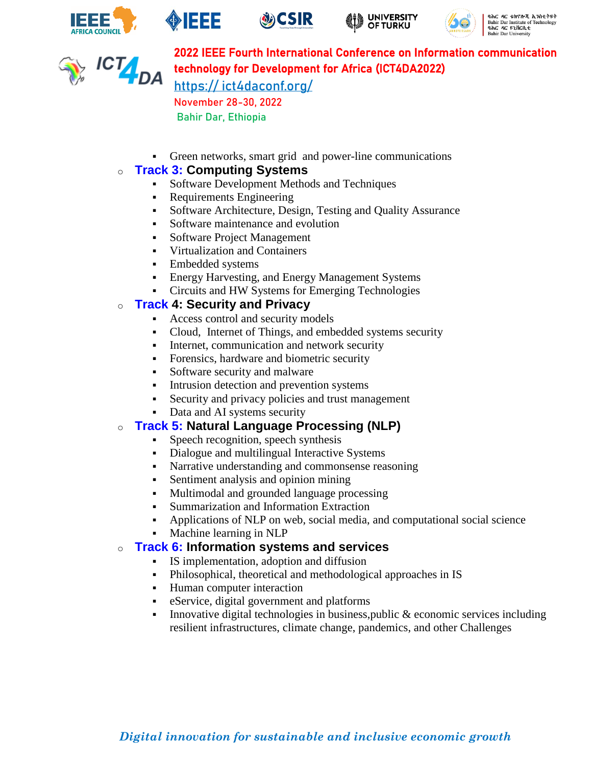











# 2022 IEEE Fourth International Conference on Information communication technology for Development for Africa (ICT4DA2022)

https:// [ict4daconf.org/](https://ict4da2022.ict4daconf.org/) November 28-30, 2022 Bahir Dar, Ethiopia

▪ Green networks, smart grid and power-line communications

#### o **Track 3: Computing Systems**

- **•** Software Development Methods and Techniques
- Requirements Engineering
- Software Architecture, Design, Testing and Quality Assurance
- Software maintenance and evolution
- Software Project Management
- Virtualization and Containers
- **Embedded systems**
- **Energy Harvesting, and Energy Management Systems**
- Circuits and HW Systems for Emerging Technologies

#### o **Track 4: Security and Privacy**

- Access control and security models
- Cloud, Internet of Things, and embedded systems security
- **•** Internet, communication and network security
- Forensics, hardware and biometric security
- Software security and malware
- **•** Intrusion detection and prevention systems
- Security and privacy policies and trust management
- Data and AI systems security

#### o **Track 5: Natural Language Processing (NLP)**

- **•** Speech recognition, speech synthesis
- Dialogue and multilingual Interactive Systems
- Narrative understanding and commonsense reasoning
- Sentiment analysis and opinion mining
- Multimodal and grounded language processing
- Summarization and Information Extraction
- Applications of NLP on web, social media, and computational social science
- Machine learning in NLP

#### o **Track 6: Information systems and services**

- IS implementation, adoption and diffusion
- Philosophical, theoretical and methodological approaches in IS
- Human computer interaction
- eService, digital government and platforms
- **•** Innovative digital technologies in business, public  $\&$  economic services including resilient infrastructures, climate change, pandemics, and other Challenges